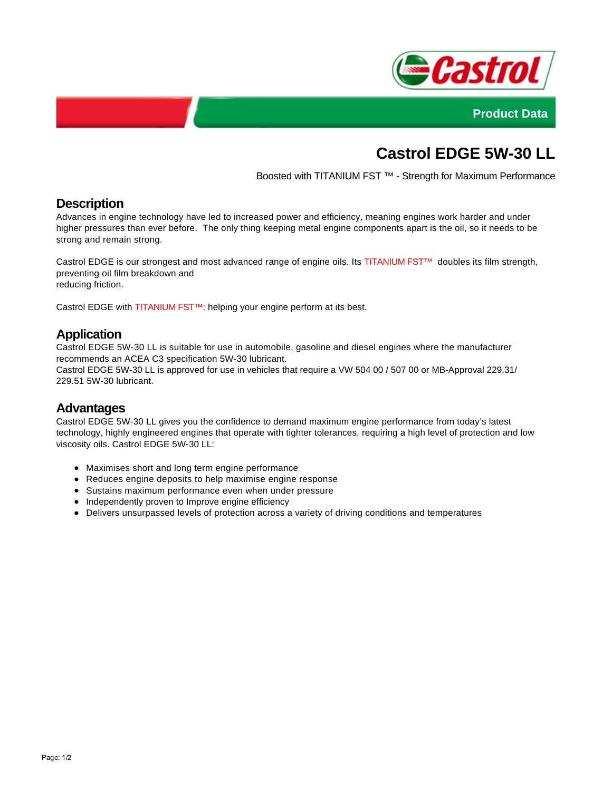



# **Castrol EDGE 5W-30 LL**

Boosted with TITANIUM FST ™ - Strength for Maximum Performance

#### **Description**

Advances in engine technology have led to increased power and efficiency, meaning engines work harder and under higher pressures than ever before. The only thing keeping metal engine components apart is the oil, so it needs to be strong and remain strong.

Castrol EDGE is our strongest and most advanced range of engine oils. Its TITANIUM FST™ doubles its film strength, preventing oil film breakdown and reducing friction.

Castrol EDGE with TITANIUM FST™: helping your engine perform at its best.

## **Application**

Castrol EDGE 5W-30 LL is suitable for use in automobile, gasoline and diesel engines where the manufacturer recommends an ACEA C3 specification 5W-30 lubricant.

Castrol EDGE 5W-30 LL is approved for use in vehicles that require a VW 504 00 / 507 00 or MB-Approval 229.31/ 229.51 5W-30 lubricant.

#### **Advantages**

Castrol EDGE 5W-30 LL gives you the confidence to demand maximum engine performance from today's latest technology, highly engineered engines that operate with tighter tolerances, requiring a high level of protection and low viscosity oils. Castrol EDGE 5W-30 LL:

- Maximises short and long term engine performance
- Reduces engine deposits to help maximise engine response
- Sustains maximum performance even when under pressure
- Independently proven to Improve engine efficiency
- Delivers unsurpassed levels of protection across a variety of driving conditions and temperatures